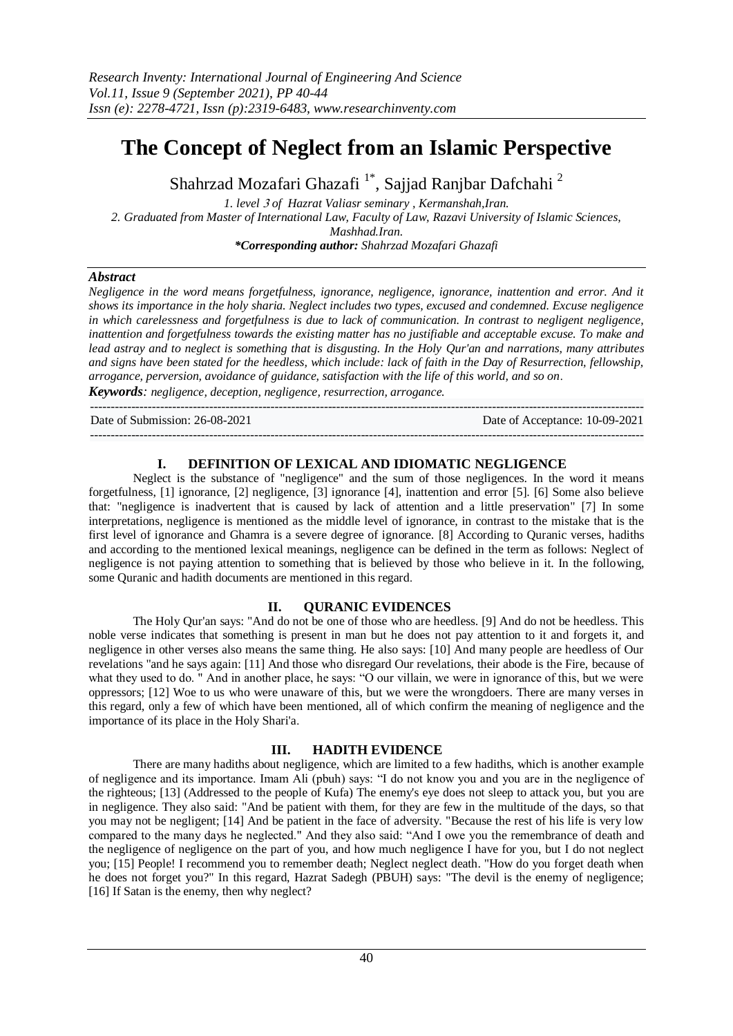# **The Concept of Neglect from an Islamic Perspective**

Shahrzad Mozafari Ghazafi<sup>1\*</sup>, Sajjad Ranjbar Dafchahi<sup>2</sup>

*1. level* <sup>3</sup> *of Hazrat Valiasr seminary , Kermanshah,Iran. 2. Graduated from Master of International Law, Faculty of Law, Razavi University of Islamic Sciences, Mashhad.Iran. \*Corresponding author: Shahrzad Mozafari Ghazafi*

#### *Abstract*

*Negligence in the word means forgetfulness, ignorance, negligence, ignorance, inattention and error. And it shows its importance in the holy sharia. Neglect includes two types, excused and condemned. Excuse negligence in which carelessness and forgetfulness is due to lack of communication. In contrast to negligent negligence, inattention and forgetfulness towards the existing matter has no justifiable and acceptable excuse. To make and lead astray and to neglect is something that is disgusting. In the Holy Qur'an and narrations, many attributes and signs have been stated for the heedless, which include: lack of faith in the Day of Resurrection, fellowship, arrogance, perversion, avoidance of guidance, satisfaction with the life of this world, and so on*.

*Keywords: negligence, deception, negligence, resurrection, arrogance.*

---------------------------------------------------------------------------------------------------------------------------------------

Date of Submission: 26-08-2021 Date of Acceptance: 10-09-2021

## --------------------------------------------------------------------------------------------------------------------------------------- **I. DEFINITION OF LEXICAL AND IDIOMATIC NEGLIGENCE**

Neglect is the substance of "negligence" and the sum of those negligences. In the word it means forgetfulness, [1] ignorance, [2] negligence, [3] ignorance [4], inattention and error [5]. [6] Some also believe that: "negligence is inadvertent that is caused by lack of attention and a little preservation" [7] In some interpretations, negligence is mentioned as the middle level of ignorance, in contrast to the mistake that is the first level of ignorance and Ghamra is a severe degree of ignorance. [8] According to Quranic verses, hadiths and according to the mentioned lexical meanings, negligence can be defined in the term as follows: Neglect of negligence is not paying attention to something that is believed by those who believe in it. In the following, some Quranic and hadith documents are mentioned in this regard.

#### **II. QURANIC EVIDENCES**

The Holy Qur'an says: "And do not be one of those who are heedless. [9] And do not be heedless. This noble verse indicates that something is present in man but he does not pay attention to it and forgets it, and negligence in other verses also means the same thing. He also says: [10] And many people are heedless of Our revelations "and he says again: [11] And those who disregard Our revelations, their abode is the Fire, because of what they used to do. " And in another place, he says: "O our villain, we were in ignorance of this, but we were oppressors; [12] Woe to us who were unaware of this, but we were the wrongdoers. There are many verses in this regard, only a few of which have been mentioned, all of which confirm the meaning of negligence and the importance of its place in the Holy Shari'a.

#### **III. HADITH EVIDENCE**

There are many hadiths about negligence, which are limited to a few hadiths, which is another example of negligence and its importance. Imam Ali (pbuh) says: "I do not know you and you are in the negligence of the righteous; [13] (Addressed to the people of Kufa) The enemy's eye does not sleep to attack you, but you are in negligence. They also said: "And be patient with them, for they are few in the multitude of the days, so that you may not be negligent; [14] And be patient in the face of adversity. "Because the rest of his life is very low compared to the many days he neglected." And they also said: "And I owe you the remembrance of death and the negligence of negligence on the part of you, and how much negligence I have for you, but I do not neglect you; [15] People! I recommend you to remember death; Neglect neglect death. "How do you forget death when he does not forget you?" In this regard, Hazrat Sadegh (PBUH) says: "The devil is the enemy of negligence; [16] If Satan is the enemy, then why neglect?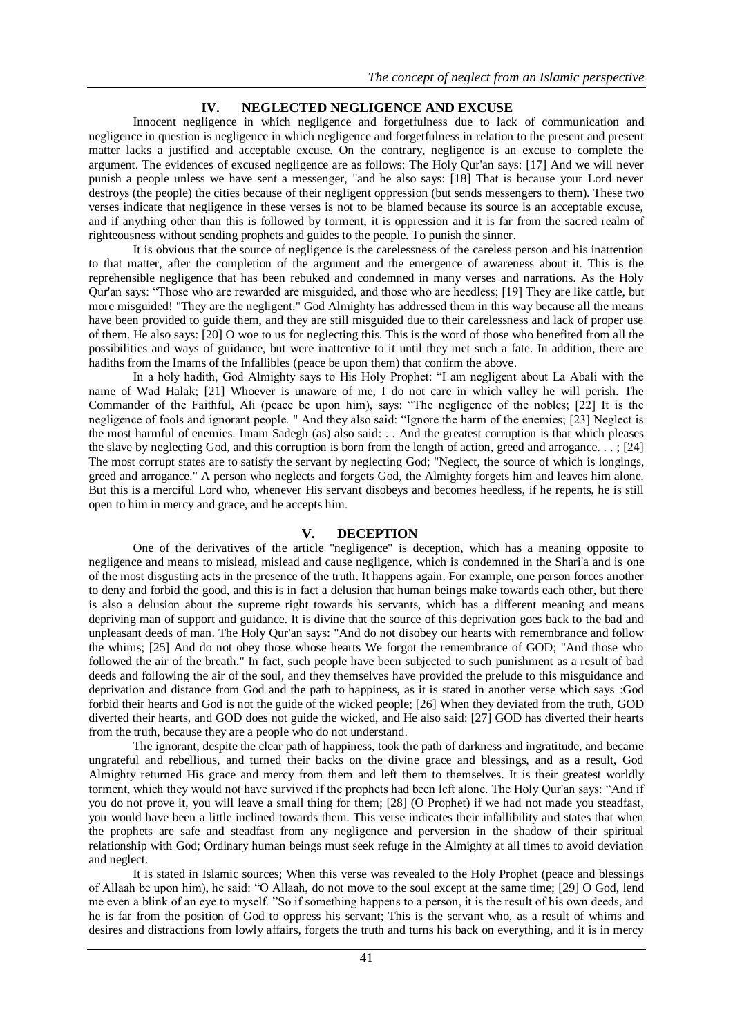### **IV. NEGLECTED NEGLIGENCE AND EXCUSE**

Innocent negligence in which negligence and forgetfulness due to lack of communication and negligence in question is negligence in which negligence and forgetfulness in relation to the present and present matter lacks a justified and acceptable excuse. On the contrary, negligence is an excuse to complete the argument. The evidences of excused negligence are as follows: The Holy Qur'an says: [17] And we will never punish a people unless we have sent a messenger, "and he also says: [18] That is because your Lord never destroys (the people) the cities because of their negligent oppression (but sends messengers to them). These two verses indicate that negligence in these verses is not to be blamed because its source is an acceptable excuse, and if anything other than this is followed by torment, it is oppression and it is far from the sacred realm of righteousness without sending prophets and guides to the people. To punish the sinner.

It is obvious that the source of negligence is the carelessness of the careless person and his inattention to that matter, after the completion of the argument and the emergence of awareness about it. This is the reprehensible negligence that has been rebuked and condemned in many verses and narrations. As the Holy Qur'an says: "Those who are rewarded are misguided, and those who are heedless; [19] They are like cattle, but more misguided! "They are the negligent." God Almighty has addressed them in this way because all the means have been provided to guide them, and they are still misguided due to their carelessness and lack of proper use of them. He also says: [20] O woe to us for neglecting this. This is the word of those who benefited from all the possibilities and ways of guidance, but were inattentive to it until they met such a fate. In addition, there are hadiths from the Imams of the Infallibles (peace be upon them) that confirm the above.

In a holy hadith, God Almighty says to His Holy Prophet: "I am negligent about La Abali with the name of Wad Halak; [21] Whoever is unaware of me, I do not care in which valley he will perish. The Commander of the Faithful, Ali (peace be upon him), says: "The negligence of the nobles; [22] It is the negligence of fools and ignorant people. " And they also said: "Ignore the harm of the enemies; [23] Neglect is the most harmful of enemies. Imam Sadegh (as) also said: . . And the greatest corruption is that which pleases the slave by neglecting God, and this corruption is born from the length of action, greed and arrogance. . . ; [24] The most corrupt states are to satisfy the servant by neglecting God; "Neglect, the source of which is longings, greed and arrogance." A person who neglects and forgets God, the Almighty forgets him and leaves him alone. But this is a merciful Lord who, whenever His servant disobeys and becomes heedless, if he repents, he is still open to him in mercy and grace, and he accepts him.

#### **V. DECEPTION**

One of the derivatives of the article "negligence" is deception, which has a meaning opposite to negligence and means to mislead, mislead and cause negligence, which is condemned in the Shari'a and is one of the most disgusting acts in the presence of the truth. It happens again. For example, one person forces another to deny and forbid the good, and this is in fact a delusion that human beings make towards each other, but there is also a delusion about the supreme right towards his servants, which has a different meaning and means depriving man of support and guidance. It is divine that the source of this deprivation goes back to the bad and unpleasant deeds of man. The Holy Qur'an says: "And do not disobey our hearts with remembrance and follow the whims; [25] And do not obey those whose hearts We forgot the remembrance of GOD; "And those who followed the air of the breath." In fact, such people have been subjected to such punishment as a result of bad deeds and following the air of the soul, and they themselves have provided the prelude to this misguidance and deprivation and distance from God and the path to happiness, as it is stated in another verse which says :God forbid their hearts and God is not the guide of the wicked people; [26] When they deviated from the truth, GOD diverted their hearts, and GOD does not guide the wicked, and He also said: [27] GOD has diverted their hearts from the truth, because they are a people who do not understand.

The ignorant, despite the clear path of happiness, took the path of darkness and ingratitude, and became ungrateful and rebellious, and turned their backs on the divine grace and blessings, and as a result, God Almighty returned His grace and mercy from them and left them to themselves. It is their greatest worldly torment, which they would not have survived if the prophets had been left alone. The Holy Qur'an says: "And if you do not prove it, you will leave a small thing for them; [28] (O Prophet) if we had not made you steadfast, you would have been a little inclined towards them. This verse indicates their infallibility and states that when the prophets are safe and steadfast from any negligence and perversion in the shadow of their spiritual relationship with God; Ordinary human beings must seek refuge in the Almighty at all times to avoid deviation and neglect.

It is stated in Islamic sources; When this verse was revealed to the Holy Prophet (peace and blessings of Allaah be upon him), he said: "O Allaah, do not move to the soul except at the same time; [29] O God, lend me even a blink of an eye to myself. "So if something happens to a person, it is the result of his own deeds, and he is far from the position of God to oppress his servant; This is the servant who, as a result of whims and desires and distractions from lowly affairs, forgets the truth and turns his back on everything, and it is in mercy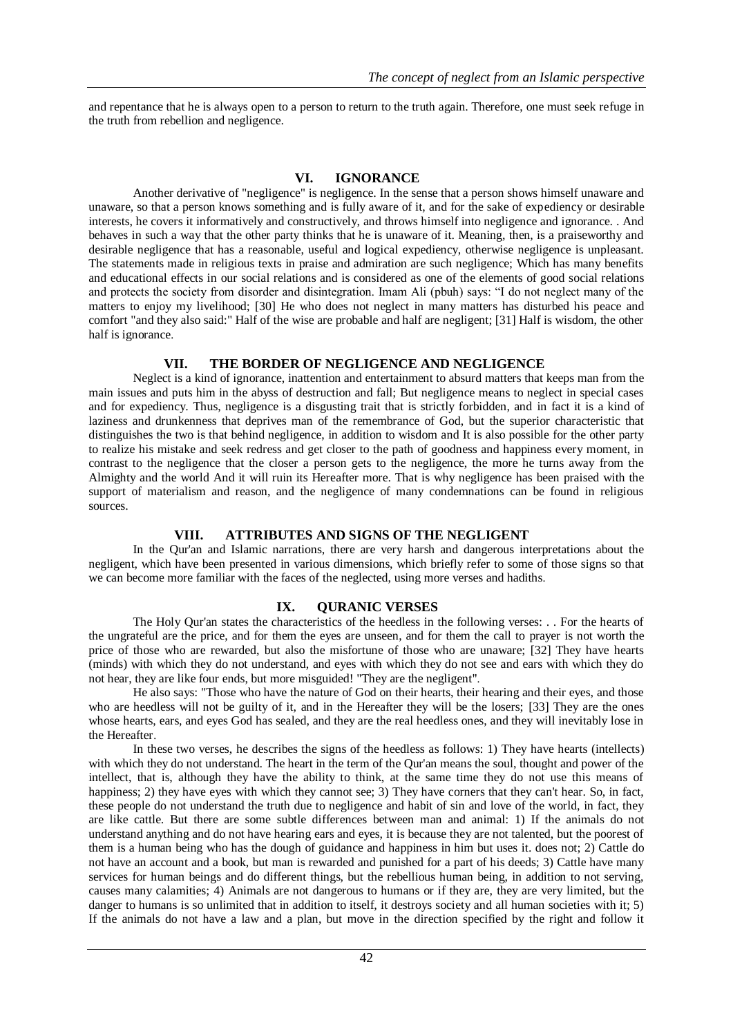and repentance that he is always open to a person to return to the truth again. Therefore, one must seek refuge in the truth from rebellion and negligence.

#### **VI. IGNORANCE**

Another derivative of "negligence" is negligence. In the sense that a person shows himself unaware and unaware, so that a person knows something and is fully aware of it, and for the sake of expediency or desirable interests, he covers it informatively and constructively, and throws himself into negligence and ignorance. . And behaves in such a way that the other party thinks that he is unaware of it. Meaning, then, is a praiseworthy and desirable negligence that has a reasonable, useful and logical expediency, otherwise negligence is unpleasant. The statements made in religious texts in praise and admiration are such negligence; Which has many benefits and educational effects in our social relations and is considered as one of the elements of good social relations and protects the society from disorder and disintegration. Imam Ali (pbuh) says: "I do not neglect many of the matters to enjoy my livelihood; [30] He who does not neglect in many matters has disturbed his peace and comfort "and they also said:" Half of the wise are probable and half are negligent; [31] Half is wisdom, the other half is ignorance.

#### **VII. THE BORDER OF NEGLIGENCE AND NEGLIGENCE**

Neglect is a kind of ignorance, inattention and entertainment to absurd matters that keeps man from the main issues and puts him in the abyss of destruction and fall; But negligence means to neglect in special cases and for expediency. Thus, negligence is a disgusting trait that is strictly forbidden, and in fact it is a kind of laziness and drunkenness that deprives man of the remembrance of God, but the superior characteristic that distinguishes the two is that behind negligence, in addition to wisdom and It is also possible for the other party to realize his mistake and seek redress and get closer to the path of goodness and happiness every moment, in contrast to the negligence that the closer a person gets to the negligence, the more he turns away from the Almighty and the world And it will ruin its Hereafter more. That is why negligence has been praised with the support of materialism and reason, and the negligence of many condemnations can be found in religious sources.

#### **VIII. ATTRIBUTES AND SIGNS OF THE NEGLIGENT**

In the Qur'an and Islamic narrations, there are very harsh and dangerous interpretations about the negligent, which have been presented in various dimensions, which briefly refer to some of those signs so that we can become more familiar with the faces of the neglected, using more verses and hadiths.

#### **IX. QURANIC VERSES**

The Holy Qur'an states the characteristics of the heedless in the following verses: . . For the hearts of the ungrateful are the price, and for them the eyes are unseen, and for them the call to prayer is not worth the price of those who are rewarded, but also the misfortune of those who are unaware; [32] They have hearts (minds) with which they do not understand, and eyes with which they do not see and ears with which they do not hear, they are like four ends, but more misguided! "They are the negligent".

He also says: "Those who have the nature of God on their hearts, their hearing and their eyes, and those who are heedless will not be guilty of it, and in the Hereafter they will be the losers; [33] They are the ones whose hearts, ears, and eyes God has sealed, and they are the real heedless ones, and they will inevitably lose in the Hereafter.

In these two verses, he describes the signs of the heedless as follows: 1) They have hearts (intellects) with which they do not understand. The heart in the term of the Qur'an means the soul, thought and power of the intellect, that is, although they have the ability to think, at the same time they do not use this means of happiness; 2) they have eyes with which they cannot see; 3) They have corners that they can't hear. So, in fact, these people do not understand the truth due to negligence and habit of sin and love of the world, in fact, they are like cattle. But there are some subtle differences between man and animal: 1) If the animals do not understand anything and do not have hearing ears and eyes, it is because they are not talented, but the poorest of them is a human being who has the dough of guidance and happiness in him but uses it. does not; 2) Cattle do not have an account and a book, but man is rewarded and punished for a part of his deeds; 3) Cattle have many services for human beings and do different things, but the rebellious human being, in addition to not serving, causes many calamities; 4) Animals are not dangerous to humans or if they are, they are very limited, but the danger to humans is so unlimited that in addition to itself, it destroys society and all human societies with it; 5) If the animals do not have a law and a plan, but move in the direction specified by the right and follow it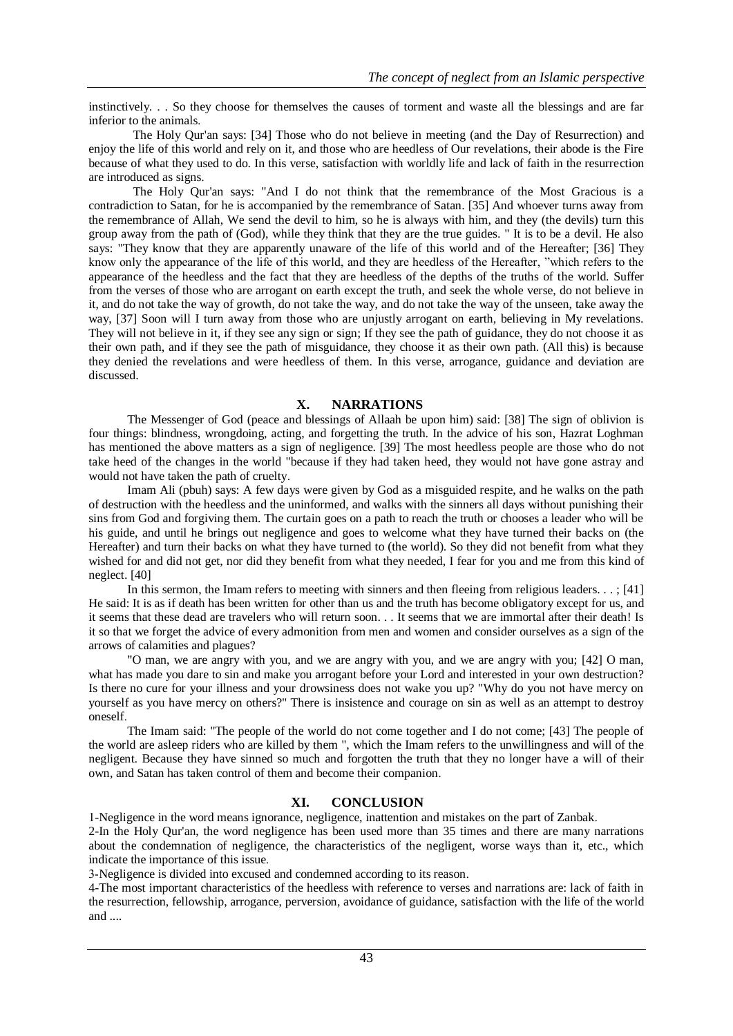instinctively. . . So they choose for themselves the causes of torment and waste all the blessings and are far inferior to the animals.

The Holy Qur'an says: [34] Those who do not believe in meeting (and the Day of Resurrection) and enjoy the life of this world and rely on it, and those who are heedless of Our revelations, their abode is the Fire because of what they used to do. In this verse, satisfaction with worldly life and lack of faith in the resurrection are introduced as signs.

The Holy Qur'an says: "And I do not think that the remembrance of the Most Gracious is a contradiction to Satan, for he is accompanied by the remembrance of Satan. [35] And whoever turns away from the remembrance of Allah, We send the devil to him, so he is always with him, and they (the devils) turn this group away from the path of (God), while they think that they are the true guides. " It is to be a devil. He also says: "They know that they are apparently unaware of the life of this world and of the Hereafter; [36] They know only the appearance of the life of this world, and they are heedless of the Hereafter, "which refers to the appearance of the heedless and the fact that they are heedless of the depths of the truths of the world. Suffer from the verses of those who are arrogant on earth except the truth, and seek the whole verse, do not believe in it, and do not take the way of growth, do not take the way, and do not take the way of the unseen, take away the way, [37] Soon will I turn away from those who are unjustly arrogant on earth, believing in My revelations. They will not believe in it, if they see any sign or sign; If they see the path of guidance, they do not choose it as their own path, and if they see the path of misguidance, they choose it as their own path. (All this) is because they denied the revelations and were heedless of them. In this verse, arrogance, guidance and deviation are discussed.

#### **X. NARRATIONS**

The Messenger of God (peace and blessings of Allaah be upon him) said: [38] The sign of oblivion is four things: blindness, wrongdoing, acting, and forgetting the truth. In the advice of his son, Hazrat Loghman has mentioned the above matters as a sign of negligence. [39] The most heedless people are those who do not take heed of the changes in the world "because if they had taken heed, they would not have gone astray and would not have taken the path of cruelty.

Imam Ali (pbuh) says: A few days were given by God as a misguided respite, and he walks on the path of destruction with the heedless and the uninformed, and walks with the sinners all days without punishing their sins from God and forgiving them. The curtain goes on a path to reach the truth or chooses a leader who will be his guide, and until he brings out negligence and goes to welcome what they have turned their backs on (the Hereafter) and turn their backs on what they have turned to (the world). So they did not benefit from what they wished for and did not get, nor did they benefit from what they needed, I fear for you and me from this kind of neglect. [40]

In this sermon, the Imam refers to meeting with sinners and then fleeing from religious leaders. . . ; [41] He said: It is as if death has been written for other than us and the truth has become obligatory except for us, and it seems that these dead are travelers who will return soon. . . It seems that we are immortal after their death! Is it so that we forget the advice of every admonition from men and women and consider ourselves as a sign of the arrows of calamities and plagues?

"O man, we are angry with you, and we are angry with you, and we are angry with you; [42] O man, what has made you dare to sin and make you arrogant before your Lord and interested in your own destruction? Is there no cure for your illness and your drowsiness does not wake you up? "Why do you not have mercy on yourself as you have mercy on others?" There is insistence and courage on sin as well as an attempt to destroy oneself.

The Imam said: "The people of the world do not come together and I do not come; [43] The people of the world are asleep riders who are killed by them ", which the Imam refers to the unwillingness and will of the negligent. Because they have sinned so much and forgotten the truth that they no longer have a will of their own, and Satan has taken control of them and become their companion.

#### **XI. CONCLUSION**

1-Negligence in the word means ignorance, negligence, inattention and mistakes on the part of Zanbak.

2-In the Holy Qur'an, the word negligence has been used more than 35 times and there are many narrations about the condemnation of negligence, the characteristics of the negligent, worse ways than it, etc., which indicate the importance of this issue.

3-Negligence is divided into excused and condemned according to its reason.

4-The most important characteristics of the heedless with reference to verses and narrations are: lack of faith in the resurrection, fellowship, arrogance, perversion, avoidance of guidance, satisfaction with the life of the world and ....